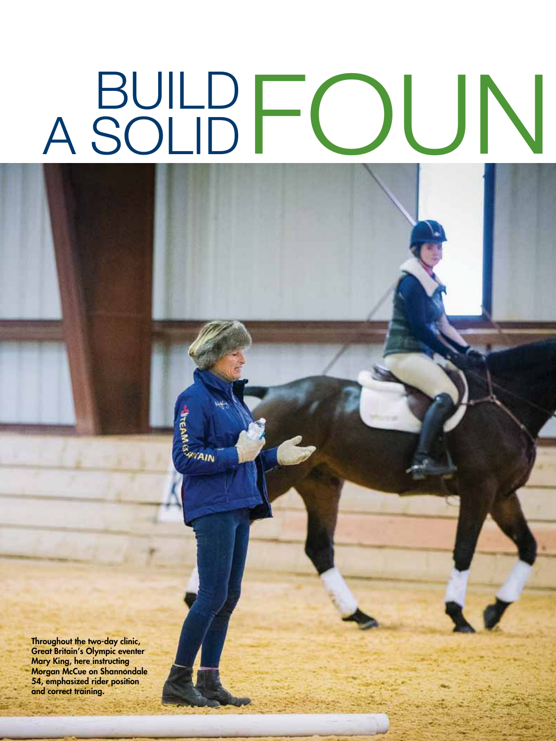# BUILD FOUN A SOLID

42 Practical Horseman • April 2015 April 2015 • Practical Horseman 43

Throughout the two-day clinic, Great Britain's Olympic eventer Mary King, here instructing Morgan McCue on Shannondale 54, emphasized rider position and correct training.

**INCEAM (S)** 

**Frain**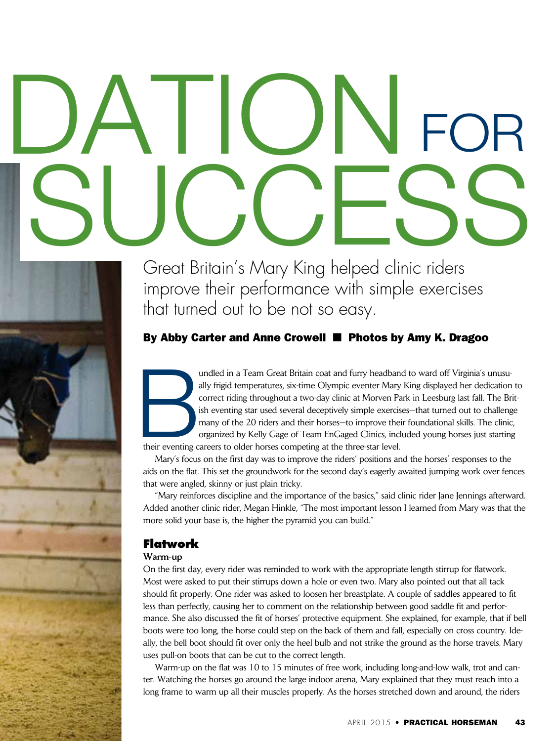# DATIONFOR SUCCE

Great Britain's Mary King helped clinic riders improve their performance with simple exercises that turned out to be not so easy.

# By Abby Carter and Anne Crowell **n** Photos by Amy K. Dragoo

undled in a Team Great Britain coat and furry headband to ward off Virginia's unusually frigid temperatures, six-time Olympic eventer Mary King displayed her dedication correct riding throughout a two-day clinic at Morven ally frigid temperatures, six-time Olympic eventer Mary King displayed her dedication to correct riding throughout a two-day clinic at Morven Park in Leesburg last fall. The British eventing star used several deceptively simple exercises—that turned out to challenge many of the 20 riders and their horses—to improve their foundational skills. The clinic, organized by Kelly Gage of Team EnGaged Clinics, included young horses just starting

their eventing careers to older horses competing at the three-star level.

Mary's focus on the first day was to improve the riders' positions and the horses' responses to the aids on the flat. This set the groundwork for the second day's eagerly awaited jumping work over fences that were angled, skinny or just plain tricky.

"Mary reinforces discipline and the importance of the basics," said clinic rider Jane Jennings afterward. Added another clinic rider, Megan Hinkle, "The most important lesson I learned from Mary was that the more solid your base is, the higher the pyramid you can build."

# **Flatwork**

## Warm-up

On the first day, every rider was reminded to work with the appropriate length stirrup for flatwork. Most were asked to put their stirrups down a hole or even two. Mary also pointed out that all tack should fit properly. One rider was asked to loosen her breastplate. A couple of saddles appeared to fit less than perfectly, causing her to comment on the relationship between good saddle fit and performance. She also discussed the fit of horses' protective equipment. She explained, for example, that if bell boots were too long, the horse could step on the back of them and fall, especially on cross country. Ideally, the bell boot should fit over only the heel bulb and not strike the ground as the horse travels. Mary uses pull-on boots that can be cut to the correct length.

Warm-up on the flat was 10 to 15 minutes of free work, including long-and-low walk, trot and canter. Watching the horses go around the large indoor arena, Mary explained that they must reach into a long frame to warm up all their muscles properly. As the horses stretched down and around, the riders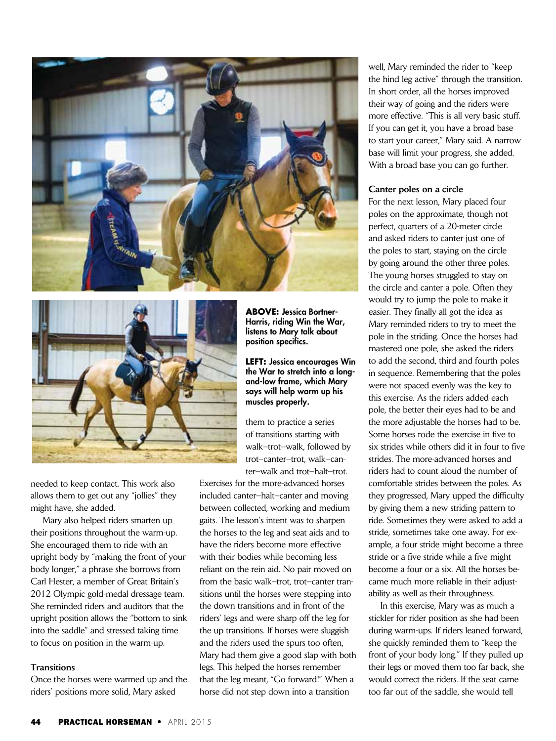



needed to keep contact. This work also allows them to get out any "jollies" they might have, she added.

Mary also helped riders smarten up their positions throughout the warm-up. She encouraged them to ride with an upright body by "making the front of your body longer," a phrase she borrows from Carl Hester, a member of Great Britain's 2012 Olympic gold-medal dressage team. She reminded riders and auditors that the upright position allows the "bottom to sink into the saddle" and stressed taking time to focus on position in the warm-up.

#### **Transitions**

Once the horses were warmed up and the riders' positions more solid, Mary asked

**ABOVE:** Jessica Bortner-Harris, riding Win the War, listens to Mary talk about position specifics.

**LEFT:** Jessica encourages Win the War to stretch into a longand-low frame, which Mary says will help warm up his muscles properly.

them to practice a series of transitions starting with walk–trot–walk, followed by trot–canter–trot, walk–canter–walk and trot–halt–trot.

Exercises for the more-advanced horses included canter–halt–canter and moving between collected, working and medium gaits. The lesson's intent was to sharpen the horses to the leg and seat aids and to have the riders become more effective with their bodies while becoming less reliant on the rein aid. No pair moved on from the basic walk–trot, trot–canter transitions until the horses were stepping into the down transitions and in front of the riders' legs and were sharp off the leg for the up transitions. If horses were sluggish and the riders used the spurs too often, Mary had them give a good slap with both legs. This helped the horses remember that the leg meant, "Go forward!" When a horse did not step down into a transition

well, Mary reminded the rider to "keep the hind leg active" through the transition. In short order, all the horses improved their way of going and the riders were more effective. "This is all very basic stuff. If you can get it, you have a broad base to start your career," Mary said. A narrow base will limit your progress, she added. With a broad base you can go further.

#### Canter poles on a circle

For the next lesson, Mary placed four poles on the approximate, though not perfect, quarters of a 20-meter circle and asked riders to canter just one of the poles to start, staying on the circle by going around the other three poles. The young horses struggled to stay on the circle and canter a pole. Often they would try to jump the pole to make it easier. They finally all got the idea as Mary reminded riders to try to meet the pole in the striding. Once the horses had mastered one pole, she asked the riders to add the second, third and fourth poles in sequence. Remembering that the poles were not spaced evenly was the key to this exercise. As the riders added each pole, the better their eyes had to be and the more adjustable the horses had to be. Some horses rode the exercise in five to six strides while others did it in four to five strides. The more-advanced horses and riders had to count aloud the number of comfortable strides between the poles. As they progressed, Mary upped the difficulty by giving them a new striding pattern to ride. Sometimes they were asked to add a stride, sometimes take one away. For example, a four stride might become a three stride or a five stride while a five might become a four or a six. All the horses became much more reliable in their adjustability as well as their throughness.

In this exercise, Mary was as much a stickler for rider position as she had been during warm-ups. If riders leaned forward, she quickly reminded them to "keep the front of your body long." If they pulled up their legs or moved them too far back, she would correct the riders. If the seat came too far out of the saddle, she would tell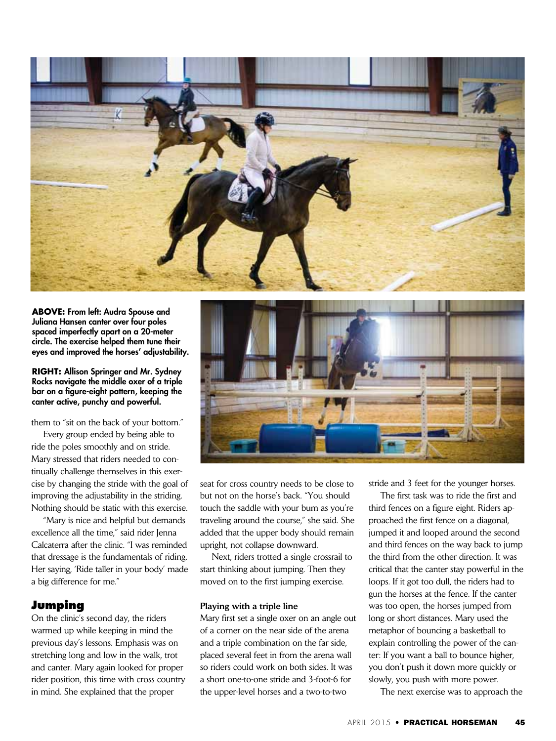

**ABOVE:** From left: Audra Spouse and Juliana Hansen canter over four poles spaced imperfectly apart on a 20-meter circle. The exercise helped them tune their eyes and improved the horses' adjustability.

#### **RIGHT:** Allison Springer and Mr. Sydney Rocks navigate the middle oxer of a triple bar on a figure-eight pattern, keeping the canter active, punchy and powerful.

them to "sit on the back of your bottom."

Every group ended by being able to ride the poles smoothly and on stride. Mary stressed that riders needed to continually challenge themselves in this exercise by changing the stride with the goal of improving the adjustability in the striding. Nothing should be static with this exercise.

"Mary is nice and helpful but demands excellence all the time," said rider Jenna Calcaterra after the clinic. "I was reminded that dressage is the fundamentals of riding. Her saying, 'Ride taller in your body' made a big difference for me."

## **Jumping**

On the clinic's second day, the riders warmed up while keeping in mind the previous day's lessons. Emphasis was on stretching long and low in the walk, trot and canter. Mary again looked for proper rider position, this time with cross country in mind. She explained that the proper



seat for cross country needs to be close to but not on the horse's back. "You should touch the saddle with your bum as you're traveling around the course," she said. She added that the upper body should remain upright, not collapse downward.

Next, riders trotted a single crossrail to start thinking about jumping. Then they moved on to the first jumping exercise.

#### Playing with a triple line

Mary first set a single oxer on an angle out of a corner on the near side of the arena and a triple combination on the far side, placed several feet in from the arena wall so riders could work on both sides. It was a short one-to-one stride and 3-foot-6 for the upper-level horses and a two-to-two

stride and 3 feet for the younger horses.

The first task was to ride the first and third fences on a figure eight. Riders approached the first fence on a diagonal, jumped it and looped around the second and third fences on the way back to jump the third from the other direction. It was critical that the canter stay powerful in the loops. If it got too dull, the riders had to gun the horses at the fence. If the canter was too open, the horses jumped from long or short distances. Mary used the metaphor of bouncing a basketball to explain controlling the power of the canter: If you want a ball to bounce higher, you don't push it down more quickly or slowly, you push with more power.

The next exercise was to approach the